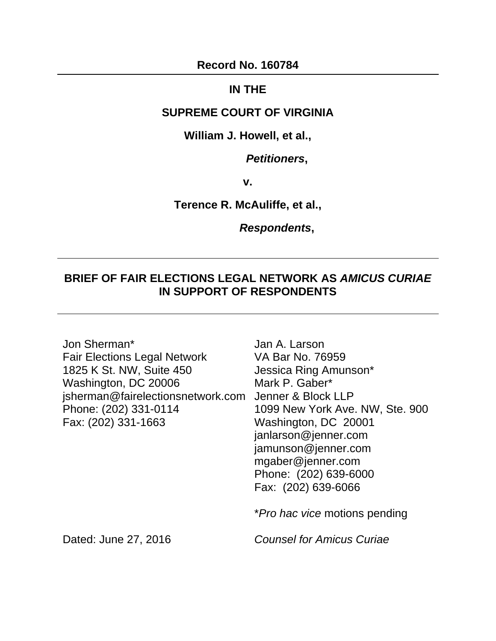**Record No. 160784** 

## **IN THE**

## **SUPREME COURT OF VIRGINIA**

### **William J. Howell, et al.,**

### *Petitioners***,**

**v.** 

#### **Terence R. McAuliffe, et al.,**

#### *Respondents***,**

## **BRIEF OF FAIR ELECTIONS LEGAL NETWORK AS** *AMICUS CURIAE* **IN SUPPORT OF RESPONDENTS**

Jon Sherman\* Fair Elections Legal Network 1825 K St. NW, Suite 450 Washington, DC 20006 jsherman@fairelectionsnetwork.com Jenner & Block LLP Phone: (202) 331-0114 Fax: (202) 331-1663

Jan A. Larson VA Bar No. 76959 Jessica Ring Amunson\* Mark P. Gaber\* 1099 New York Ave. NW, Ste. 900 Washington, DC 20001 janlarson@jenner.com jamunson@jenner.com mgaber@jenner.com Phone: (202) 639-6000 Fax: (202) 639-6066

\**Pro hac vice* motions pending

*Counsel for Amicus Curiae* 

Dated: June 27, 2016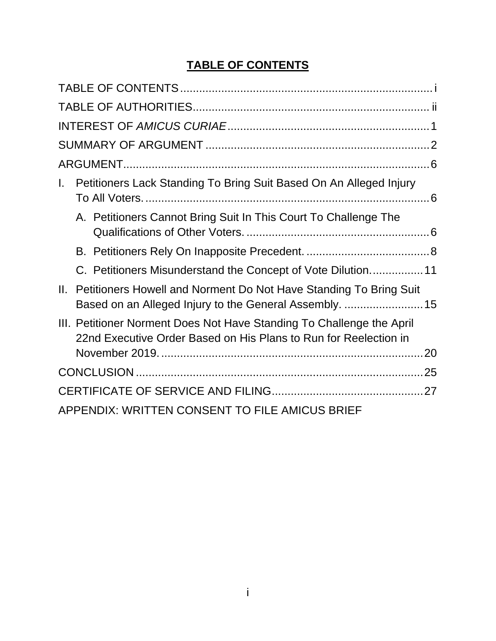## **TABLE OF CONTENTS**

| Petitioners Lack Standing To Bring Suit Based On An Alleged Injury<br>L.                                                                        |
|-------------------------------------------------------------------------------------------------------------------------------------------------|
| A. Petitioners Cannot Bring Suit In This Court To Challenge The                                                                                 |
|                                                                                                                                                 |
| C. Petitioners Misunderstand the Concept of Vote Dilution11                                                                                     |
| Petitioners Howell and Norment Do Not Have Standing To Bring Suit<br>$\Pi$ .<br>Based on an Alleged Injury to the General Assembly.  15         |
| III. Petitioner Norment Does Not Have Standing To Challenge the April<br>22nd Executive Order Based on His Plans to Run for Reelection in<br>20 |
|                                                                                                                                                 |
|                                                                                                                                                 |
| APPENDIX: WRITTEN CONSENT TO FILE AMICUS BRIEF                                                                                                  |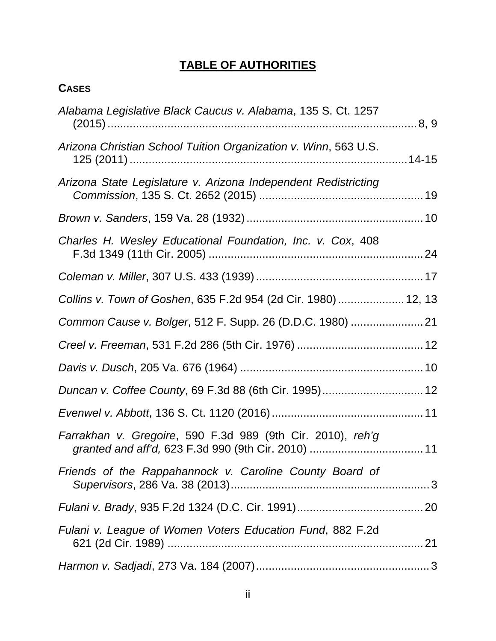# **TABLE OF AUTHORITIES**

## **CASES**

| Alabama Legislative Black Caucus v. Alabama, 135 S. Ct. 1257    |  |
|-----------------------------------------------------------------|--|
| Arizona Christian School Tuition Organization v. Winn, 563 U.S. |  |
| Arizona State Legislature v. Arizona Independent Redistricting  |  |
|                                                                 |  |
| Charles H. Wesley Educational Foundation, Inc. v. Cox, 408      |  |
|                                                                 |  |
| Collins v. Town of Goshen, 635 F.2d 954 (2d Cir. 1980)  12, 13  |  |
|                                                                 |  |
|                                                                 |  |
|                                                                 |  |
|                                                                 |  |
|                                                                 |  |
| Farrakhan v. Gregoire, 590 F.3d 989 (9th Cir. 2010), reh'g      |  |
| Friends of the Rappahannock v. Caroline County Board of         |  |
|                                                                 |  |
| Fulani v. League of Women Voters Education Fund, 882 F.2d       |  |
|                                                                 |  |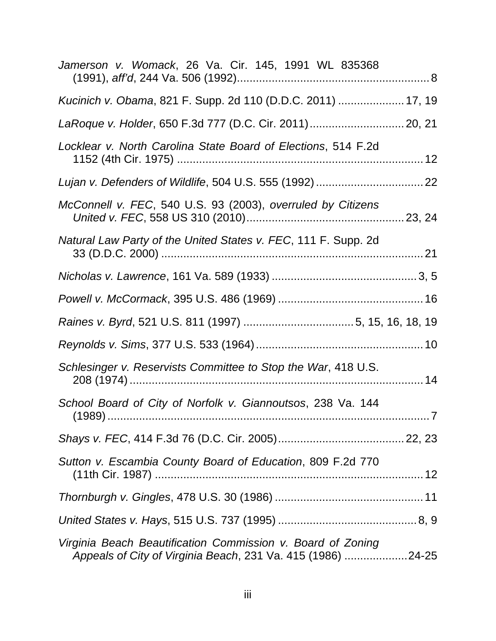| Jamerson v. Womack, 26 Va. Cir. 145, 1991 WL 835368                                                                        |     |
|----------------------------------------------------------------------------------------------------------------------------|-----|
| Kucinich v. Obama, 821 F. Supp. 2d 110 (D.D.C. 2011)  17, 19                                                               |     |
| LaRoque v. Holder, 650 F.3d 777 (D.C. Cir. 2011) 20, 21                                                                    |     |
| Locklear v. North Carolina State Board of Elections, 514 F.2d                                                              |     |
|                                                                                                                            |     |
| McConnell v. FEC, 540 U.S. 93 (2003), overruled by Citizens                                                                |     |
| Natural Law Party of the United States v. FEC, 111 F. Supp. 2d                                                             |     |
|                                                                                                                            |     |
|                                                                                                                            |     |
|                                                                                                                            |     |
|                                                                                                                            |     |
| Schlesinger v. Reservists Committee to Stop the War, 418 U.S.                                                              |     |
| School Board of City of Norfolk v. Giannoutsos, 238 Va. 144                                                                | . 7 |
|                                                                                                                            |     |
| Sutton v. Escambia County Board of Education, 809 F.2d 770                                                                 |     |
|                                                                                                                            |     |
|                                                                                                                            |     |
| Virginia Beach Beautification Commission v. Board of Zoning<br>Appeals of City of Virginia Beach, 231 Va. 415 (1986) 24-25 |     |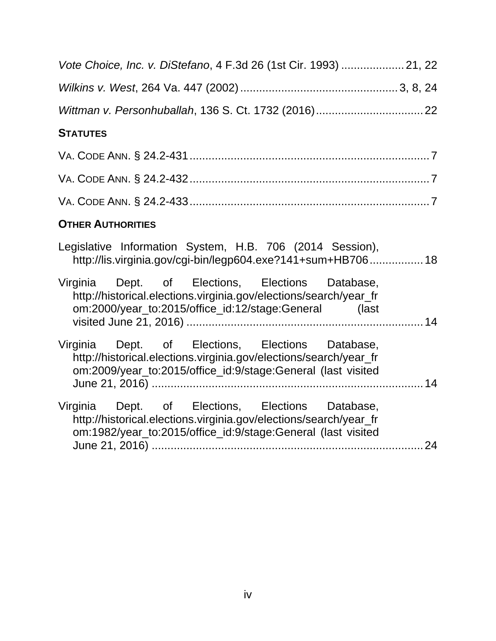| Vote Choice, Inc. v. DiStefano, 4 F.3d 26 (1st Cir. 1993)  21, 22                                                                                                                     |
|---------------------------------------------------------------------------------------------------------------------------------------------------------------------------------------|
|                                                                                                                                                                                       |
|                                                                                                                                                                                       |
| <b>STATUTES</b>                                                                                                                                                                       |
|                                                                                                                                                                                       |
|                                                                                                                                                                                       |
|                                                                                                                                                                                       |
| <b>OTHER AUTHORITIES</b>                                                                                                                                                              |
| Legislative Information System, H.B. 706 (2014 Session),<br>http://lis.virginia.gov/cgi-bin/legp604.exe?141+sum+HB706 18                                                              |
| Virginia Dept. of Elections, Elections Database,<br>http://historical.elections.virginia.gov/elections/search/year_fr<br>om:2000/year_to:2015/office_id:12/stage:General (last        |
| Virginia Dept. of Elections, Elections Database,<br>http://historical.elections.virginia.gov/elections/search/year_fr<br>om:2009/year_to:2015/office_id:9/stage:General (last visited |
| Virginia Dept. of Elections, Elections Database,<br>http://historical.elections.virginia.gov/elections/search/year_fr<br>om:1982/year_to:2015/office_id:9/stage:General (last visited |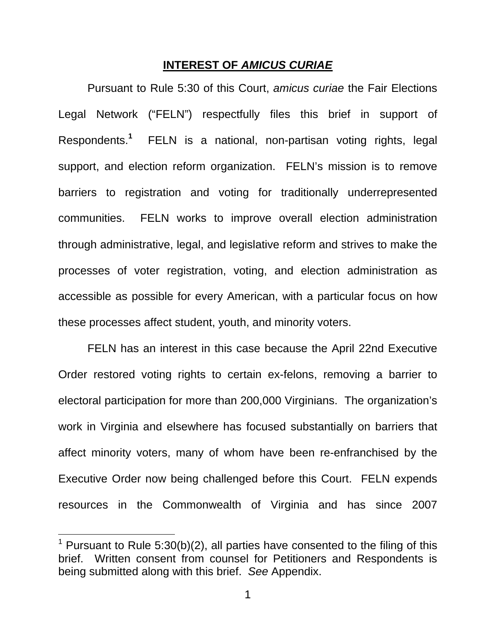#### **INTEREST OF** *AMICUS CURIAE*

Pursuant to Rule 5:30 of this Court, *amicus curiae* the Fair Elections Legal Network ("FELN") respectfully files this brief in support of Respondents.**<sup>1</sup>** FELN is a national, non-partisan voting rights, legal support, and election reform organization. FELN's mission is to remove barriers to registration and voting for traditionally underrepresented communities. FELN works to improve overall election administration through administrative, legal, and legislative reform and strives to make the processes of voter registration, voting, and election administration as accessible as possible for every American, with a particular focus on how these processes affect student, youth, and minority voters.

FELN has an interest in this case because the April 22nd Executive Order restored voting rights to certain ex-felons, removing a barrier to electoral participation for more than 200,000 Virginians. The organization's work in Virginia and elsewhere has focused substantially on barriers that affect minority voters, many of whom have been re-enfranchised by the Executive Order now being challenged before this Court. FELN expends resources in the Commonwealth of Virginia and has since 2007

 $\overline{\phantom{a}}$ 

<sup>&</sup>lt;sup>1</sup> Pursuant to Rule 5:30(b)(2), all parties have consented to the filing of this brief. Written consent from counsel for Petitioners and Respondents is being submitted along with this brief. *See* Appendix.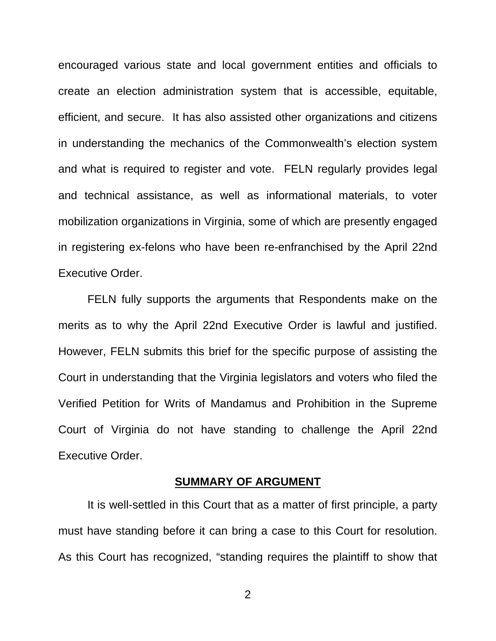encouraged various state and local government entities and officials to create an election administration system that is accessible, equitable, efficient, and secure. It has also assisted other organizations and citizens in understanding the mechanics of the Commonwealth's election system and what is required to register and vote. FELN regularly provides legal and technical assistance, as well as informational materials, to voter mobilization organizations in Virginia, some of which are presently engaged in registering ex-felons who have been re-enfranchised by the April 22nd Executive Order.

FELN fully supports the arguments that Respondents make on the merits as to why the April 22nd Executive Order is lawful and justified. However, FELN submits this brief for the specific purpose of assisting the Court in understanding that the Virginia legislators and voters who filed the Verified Petition for Writs of Mandamus and Prohibition in the Supreme Court of Virginia do not have standing to challenge the April 22nd Executive Order.

#### **SUMMARY OF ARGUMENT**

It is well-settled in this Court that as a matter of first principle, a party must have standing before it can bring a case to this Court for resolution. As this Court has recognized, "standing requires the plaintiff to show that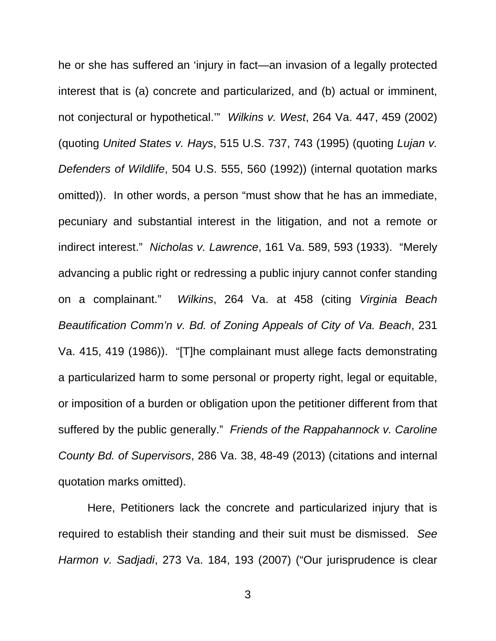he or she has suffered an 'injury in fact—an invasion of a legally protected interest that is (a) concrete and particularized, and (b) actual or imminent, not conjectural or hypothetical.'" *Wilkins v. West*, 264 Va. 447, 459 (2002) (quoting *United States v. Hays*, 515 U.S. 737, 743 (1995) (quoting *Lujan v. Defenders of Wildlife*, 504 U.S. 555, 560 (1992)) (internal quotation marks omitted)). In other words, a person "must show that he has an immediate, pecuniary and substantial interest in the litigation, and not a remote or indirect interest." *Nicholas v. Lawrence*, 161 Va. 589, 593 (1933). "Merely advancing a public right or redressing a public injury cannot confer standing on a complainant." *Wilkins*, 264 Va. at 458 (citing *Virginia Beach Beautification Comm'n v. Bd. of Zoning Appeals of City of Va. Beach*, 231 Va. 415, 419 (1986)). "[T]he complainant must allege facts demonstrating a particularized harm to some personal or property right, legal or equitable, or imposition of a burden or obligation upon the petitioner different from that suffered by the public generally." *Friends of the Rappahannock v. Caroline County Bd. of Supervisors*, 286 Va. 38, 48-49 (2013) (citations and internal quotation marks omitted).

Here, Petitioners lack the concrete and particularized injury that is required to establish their standing and their suit must be dismissed. *See Harmon v. Sadjadi*, 273 Va. 184, 193 (2007) ("Our jurisprudence is clear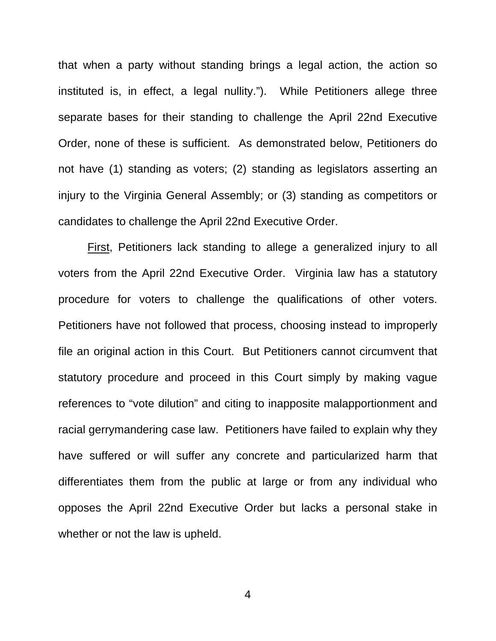that when a party without standing brings a legal action, the action so instituted is, in effect, a legal nullity."). While Petitioners allege three separate bases for their standing to challenge the April 22nd Executive Order, none of these is sufficient. As demonstrated below, Petitioners do not have (1) standing as voters; (2) standing as legislators asserting an injury to the Virginia General Assembly; or (3) standing as competitors or candidates to challenge the April 22nd Executive Order.

First, Petitioners lack standing to allege a generalized injury to all voters from the April 22nd Executive Order. Virginia law has a statutory procedure for voters to challenge the qualifications of other voters. Petitioners have not followed that process, choosing instead to improperly file an original action in this Court. But Petitioners cannot circumvent that statutory procedure and proceed in this Court simply by making vague references to "vote dilution" and citing to inapposite malapportionment and racial gerrymandering case law. Petitioners have failed to explain why they have suffered or will suffer any concrete and particularized harm that differentiates them from the public at large or from any individual who opposes the April 22nd Executive Order but lacks a personal stake in whether or not the law is upheld.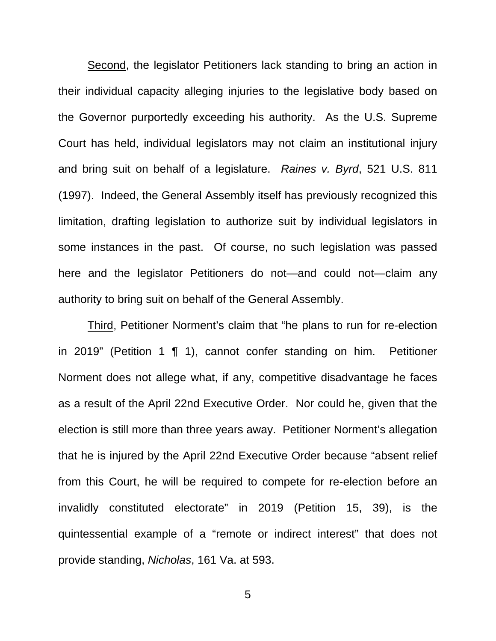Second, the legislator Petitioners lack standing to bring an action in their individual capacity alleging injuries to the legislative body based on the Governor purportedly exceeding his authority. As the U.S. Supreme Court has held, individual legislators may not claim an institutional injury and bring suit on behalf of a legislature. *Raines v. Byrd*, 521 U.S. 811 (1997). Indeed, the General Assembly itself has previously recognized this limitation, drafting legislation to authorize suit by individual legislators in some instances in the past. Of course, no such legislation was passed here and the legislator Petitioners do not—and could not—claim any authority to bring suit on behalf of the General Assembly.

Third, Petitioner Norment's claim that "he plans to run for re-election in 2019" (Petition 1 ¶ 1), cannot confer standing on him. Petitioner Norment does not allege what, if any, competitive disadvantage he faces as a result of the April 22nd Executive Order. Nor could he, given that the election is still more than three years away. Petitioner Norment's allegation that he is injured by the April 22nd Executive Order because "absent relief from this Court, he will be required to compete for re-election before an invalidly constituted electorate" in 2019 (Petition 15, 39), is the quintessential example of a "remote or indirect interest" that does not provide standing, *Nicholas*, 161 Va. at 593.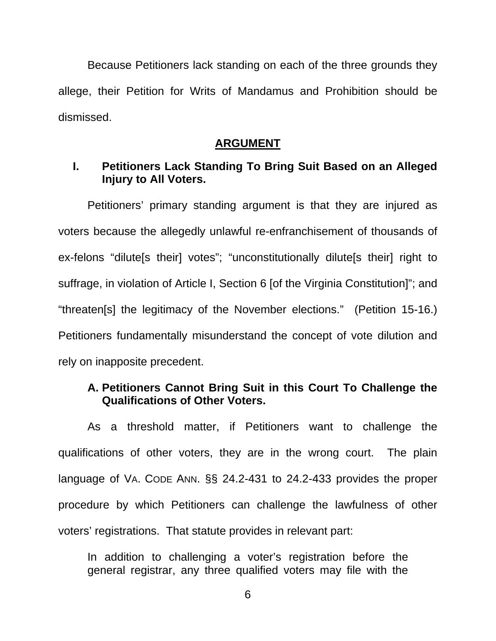Because Petitioners lack standing on each of the three grounds they allege, their Petition for Writs of Mandamus and Prohibition should be dismissed.

#### **ARGUMENT**

## **I. Petitioners Lack Standing To Bring Suit Based on an Alleged Injury to All Voters.**

Petitioners' primary standing argument is that they are injured as voters because the allegedly unlawful re-enfranchisement of thousands of ex-felons "dilute[s their] votes"; "unconstitutionally dilute[s their] right to suffrage, in violation of Article I, Section 6 [of the Virginia Constitution]"; and "threaten[s] the legitimacy of the November elections." (Petition 15-16.) Petitioners fundamentally misunderstand the concept of vote dilution and rely on inapposite precedent.

### **A. Petitioners Cannot Bring Suit in this Court To Challenge the Qualifications of Other Voters.**

As a threshold matter, if Petitioners want to challenge the qualifications of other voters, they are in the wrong court. The plain language of VA. CODE ANN. §§ 24.2-431 to 24.2-433 provides the proper procedure by which Petitioners can challenge the lawfulness of other voters' registrations. That statute provides in relevant part:

In addition to challenging a voter's registration before the general registrar, any three qualified voters may file with the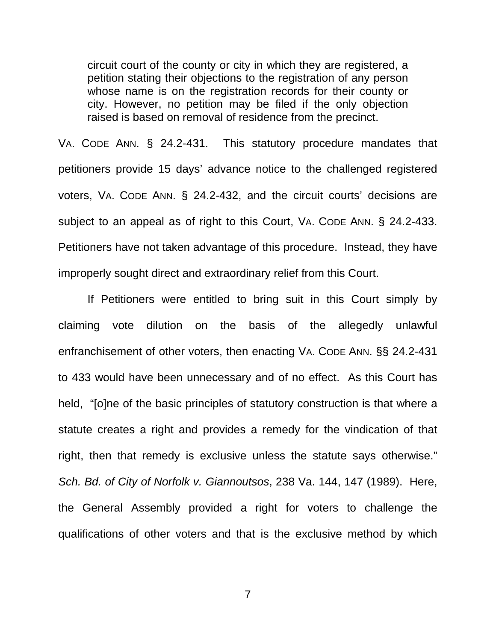circuit court of the county or city in which they are registered, a petition stating their objections to the registration of any person whose name is on the registration records for their county or city. However, no petition may be filed if the only objection raised is based on removal of residence from the precinct.

VA. CODE ANN. § 24.2-431. This statutory procedure mandates that petitioners provide 15 days' advance notice to the challenged registered voters, VA. CODE ANN. § 24.2-432, and the circuit courts' decisions are subject to an appeal as of right to this Court, VA. CODE ANN. § 24.2-433. Petitioners have not taken advantage of this procedure. Instead, they have improperly sought direct and extraordinary relief from this Court.

If Petitioners were entitled to bring suit in this Court simply by claiming vote dilution on the basis of the allegedly unlawful enfranchisement of other voters, then enacting VA. CODE ANN. §§ 24.2-431 to 433 would have been unnecessary and of no effect. As this Court has held, "[o]ne of the basic principles of statutory construction is that where a statute creates a right and provides a remedy for the vindication of that right, then that remedy is exclusive unless the statute says otherwise." *Sch. Bd. of City of Norfolk v. Giannoutsos*, 238 Va. 144, 147 (1989). Here, the General Assembly provided a right for voters to challenge the qualifications of other voters and that is the exclusive method by which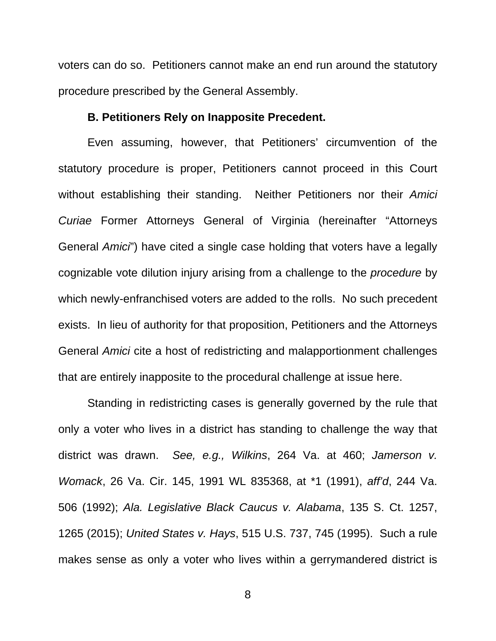voters can do so. Petitioners cannot make an end run around the statutory procedure prescribed by the General Assembly.

#### **B. Petitioners Rely on Inapposite Precedent.**

Even assuming, however, that Petitioners' circumvention of the statutory procedure is proper, Petitioners cannot proceed in this Court without establishing their standing. Neither Petitioners nor their *Amici Curiae* Former Attorneys General of Virginia (hereinafter "Attorneys General *Amici*") have cited a single case holding that voters have a legally cognizable vote dilution injury arising from a challenge to the *procedure* by which newly-enfranchised voters are added to the rolls. No such precedent exists. In lieu of authority for that proposition, Petitioners and the Attorneys General *Amici* cite a host of redistricting and malapportionment challenges that are entirely inapposite to the procedural challenge at issue here.

Standing in redistricting cases is generally governed by the rule that only a voter who lives in a district has standing to challenge the way that district was drawn. *See, e.g., Wilkins*, 264 Va. at 460; *Jamerson v. Womack*, 26 Va. Cir. 145, 1991 WL 835368, at \*1 (1991), *aff'd*, 244 Va. 506 (1992); *Ala. Legislative Black Caucus v. Alabama*, 135 S. Ct. 1257, 1265 (2015); *United States v. Hays*, 515 U.S. 737, 745 (1995). Such a rule makes sense as only a voter who lives within a gerrymandered district is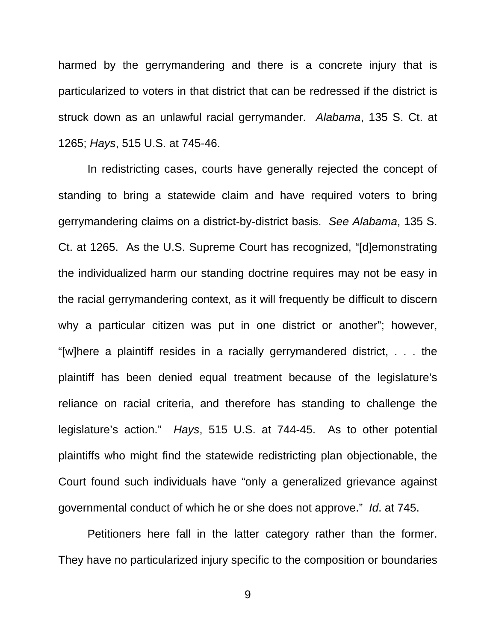harmed by the gerrymandering and there is a concrete injury that is particularized to voters in that district that can be redressed if the district is struck down as an unlawful racial gerrymander. *Alabama*, 135 S. Ct. at 1265; *Hays*, 515 U.S. at 745-46.

In redistricting cases, courts have generally rejected the concept of standing to bring a statewide claim and have required voters to bring gerrymandering claims on a district-by-district basis. *See Alabama*, 135 S. Ct. at 1265. As the U.S. Supreme Court has recognized, "[d]emonstrating the individualized harm our standing doctrine requires may not be easy in the racial gerrymandering context, as it will frequently be difficult to discern why a particular citizen was put in one district or another"; however, "[w]here a plaintiff resides in a racially gerrymandered district, . . . the plaintiff has been denied equal treatment because of the legislature's reliance on racial criteria, and therefore has standing to challenge the legislature's action." *Hays*, 515 U.S. at 744-45. As to other potential plaintiffs who might find the statewide redistricting plan objectionable, the Court found such individuals have "only a generalized grievance against governmental conduct of which he or she does not approve." *Id*. at 745.

Petitioners here fall in the latter category rather than the former. They have no particularized injury specific to the composition or boundaries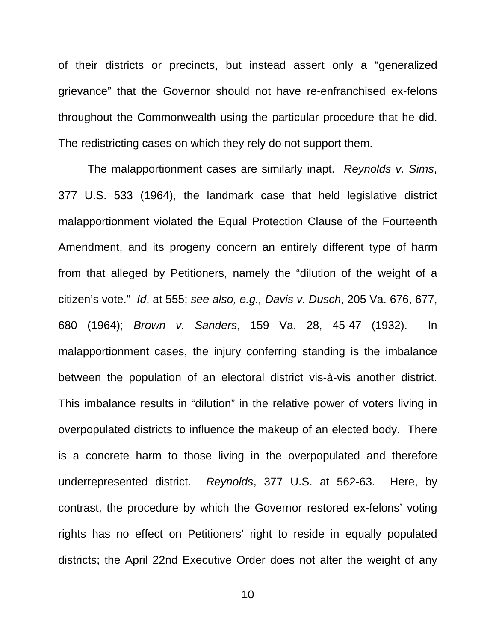of their districts or precincts, but instead assert only a "generalized grievance" that the Governor should not have re-enfranchised ex-felons throughout the Commonwealth using the particular procedure that he did. The redistricting cases on which they rely do not support them.

The malapportionment cases are similarly inapt. *Reynolds v. Sims*, 377 U.S. 533 (1964), the landmark case that held legislative district malapportionment violated the Equal Protection Clause of the Fourteenth Amendment, and its progeny concern an entirely different type of harm from that alleged by Petitioners, namely the "dilution of the weight of a citizen's vote." *Id*. at 555; *see also, e.g., Davis v. Dusch*, 205 Va. 676, 677, 680 (1964); *Brown v. Sanders*, 159 Va. 28, 45-47 (1932). In malapportionment cases, the injury conferring standing is the imbalance between the population of an electoral district vis-à-vis another district. This imbalance results in "dilution" in the relative power of voters living in overpopulated districts to influence the makeup of an elected body. There is a concrete harm to those living in the overpopulated and therefore underrepresented district. *Reynolds*, 377 U.S. at 562-63. Here, by contrast, the procedure by which the Governor restored ex-felons' voting rights has no effect on Petitioners' right to reside in equally populated districts; the April 22nd Executive Order does not alter the weight of any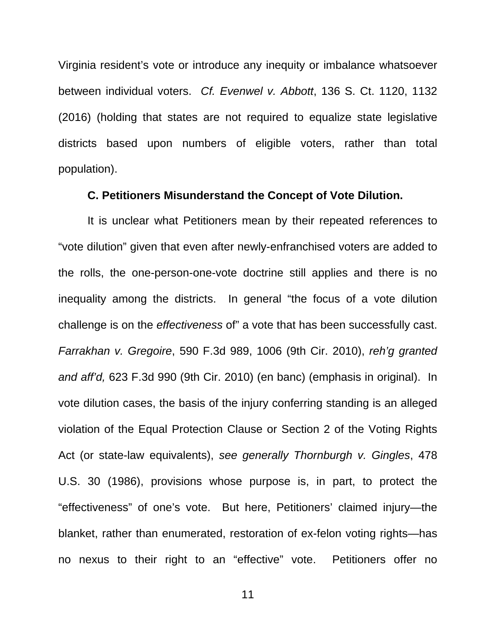Virginia resident's vote or introduce any inequity or imbalance whatsoever between individual voters. *Cf. Evenwel v. Abbott*, 136 S. Ct. 1120, 1132 (2016) (holding that states are not required to equalize state legislative districts based upon numbers of eligible voters, rather than total population).

#### **C. Petitioners Misunderstand the Concept of Vote Dilution.**

It is unclear what Petitioners mean by their repeated references to "vote dilution" given that even after newly-enfranchised voters are added to the rolls, the one-person-one-vote doctrine still applies and there is no inequality among the districts. In general "the focus of a vote dilution challenge is on the *effectiveness* of" a vote that has been successfully cast. *Farrakhan v. Gregoire*, 590 F.3d 989, 1006 (9th Cir. 2010), *reh'g granted and aff'd,* 623 F.3d 990 (9th Cir. 2010) (en banc) (emphasis in original). In vote dilution cases, the basis of the injury conferring standing is an alleged violation of the Equal Protection Clause or Section 2 of the Voting Rights Act (or state-law equivalents), *see generally Thornburgh v. Gingles*, 478 U.S. 30 (1986), provisions whose purpose is, in part, to protect the "effectiveness" of one's vote. But here, Petitioners' claimed injury—the blanket, rather than enumerated, restoration of ex-felon voting rights—has no nexus to their right to an "effective" vote. Petitioners offer no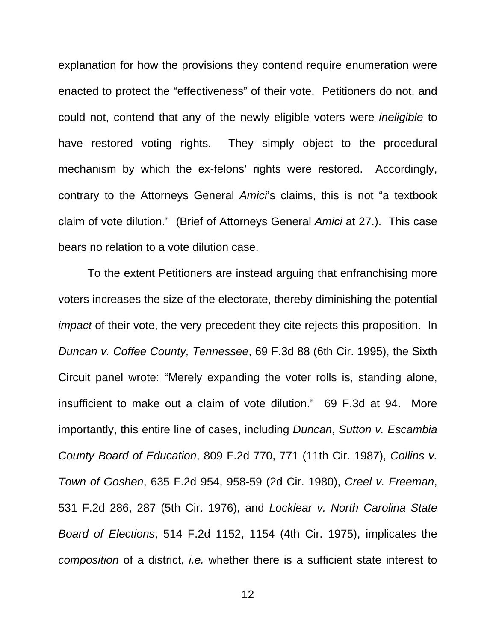explanation for how the provisions they contend require enumeration were enacted to protect the "effectiveness" of their vote. Petitioners do not, and could not, contend that any of the newly eligible voters were *ineligible* to have restored voting rights. They simply object to the procedural mechanism by which the ex-felons' rights were restored. Accordingly, contrary to the Attorneys General *Amici*'s claims, this is not "a textbook claim of vote dilution." (Brief of Attorneys General *Amici* at 27.). This case bears no relation to a vote dilution case.

To the extent Petitioners are instead arguing that enfranchising more voters increases the size of the electorate, thereby diminishing the potential *impact* of their vote, the very precedent they cite rejects this proposition. In *Duncan v. Coffee County, Tennessee*, 69 F.3d 88 (6th Cir. 1995), the Sixth Circuit panel wrote: "Merely expanding the voter rolls is, standing alone, insufficient to make out a claim of vote dilution." 69 F.3d at 94. More importantly, this entire line of cases, including *Duncan*, *Sutton v. Escambia County Board of Education*, 809 F.2d 770, 771 (11th Cir. 1987), *Collins v. Town of Goshen*, 635 F.2d 954, 958-59 (2d Cir. 1980), *Creel v. Freeman*, 531 F.2d 286, 287 (5th Cir. 1976), and *Locklear v. North Carolina State Board of Elections*, 514 F.2d 1152, 1154 (4th Cir. 1975), implicates the *composition* of a district, *i.e.* whether there is a sufficient state interest to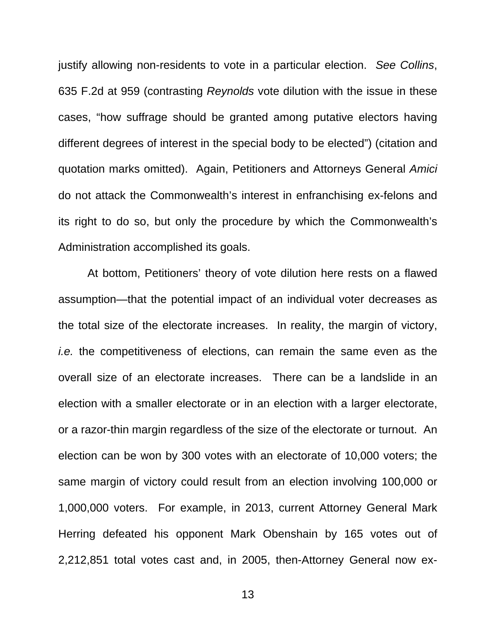justify allowing non-residents to vote in a particular election. *See Collins*, 635 F.2d at 959 (contrasting *Reynolds* vote dilution with the issue in these cases, "how suffrage should be granted among putative electors having different degrees of interest in the special body to be elected") (citation and quotation marks omitted). Again, Petitioners and Attorneys General *Amici* do not attack the Commonwealth's interest in enfranchising ex-felons and its right to do so, but only the procedure by which the Commonwealth's Administration accomplished its goals.

At bottom, Petitioners' theory of vote dilution here rests on a flawed assumption—that the potential impact of an individual voter decreases as the total size of the electorate increases. In reality, the margin of victory, *i.e.* the competitiveness of elections, can remain the same even as the overall size of an electorate increases. There can be a landslide in an election with a smaller electorate or in an election with a larger electorate, or a razor-thin margin regardless of the size of the electorate or turnout. An election can be won by 300 votes with an electorate of 10,000 voters; the same margin of victory could result from an election involving 100,000 or 1,000,000 voters. For example, in 2013, current Attorney General Mark Herring defeated his opponent Mark Obenshain by 165 votes out of 2,212,851 total votes cast and, in 2005, then-Attorney General now ex-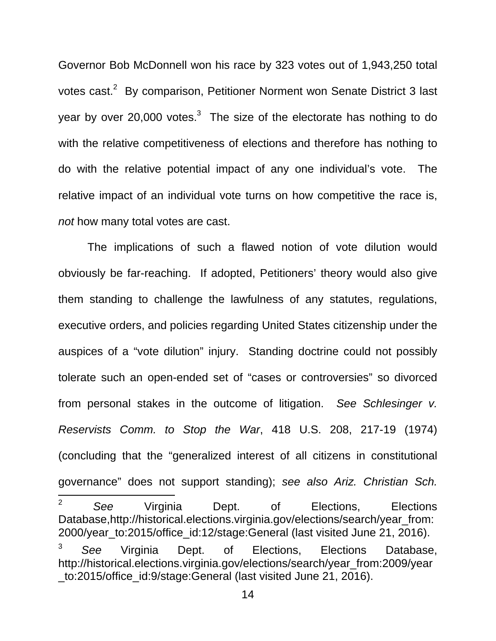Governor Bob McDonnell won his race by 323 votes out of 1,943,250 total votes cast.<sup>2</sup> By comparison, Petitioner Norment won Senate District 3 last year by over 20,000 votes.<sup>3</sup> The size of the electorate has nothing to do with the relative competitiveness of elections and therefore has nothing to do with the relative potential impact of any one individual's vote. The relative impact of an individual vote turns on how competitive the race is, *not* how many total votes are cast.

The implications of such a flawed notion of vote dilution would obviously be far-reaching. If adopted, Petitioners' theory would also give them standing to challenge the lawfulness of any statutes, regulations, executive orders, and policies regarding United States citizenship under the auspices of a "vote dilution" injury. Standing doctrine could not possibly tolerate such an open-ended set of "cases or controversies" so divorced from personal stakes in the outcome of litigation. *See Schlesinger v. Reservists Comm. to Stop the War*, 418 U.S. 208, 217-19 (1974) (concluding that the "generalized interest of all citizens in constitutional governance" does not support standing); *see also Ariz. Christian Sch.*   $\overline{2}$ <sup>2</sup> *See* Virginia Dept. of Elections, Elections Database,http://historical.elections.virginia.gov/elections/search/year\_from: 2000/year\_to:2015/office\_id:12/stage:General (last visited June 21, 2016). <sup>3</sup> *See* Virginia Dept. of Elections, Elections Database, http://historical.elections.virginia.gov/elections/search/year\_from:2009/year \_to:2015/office\_id:9/stage:General (last visited June 21, 2016).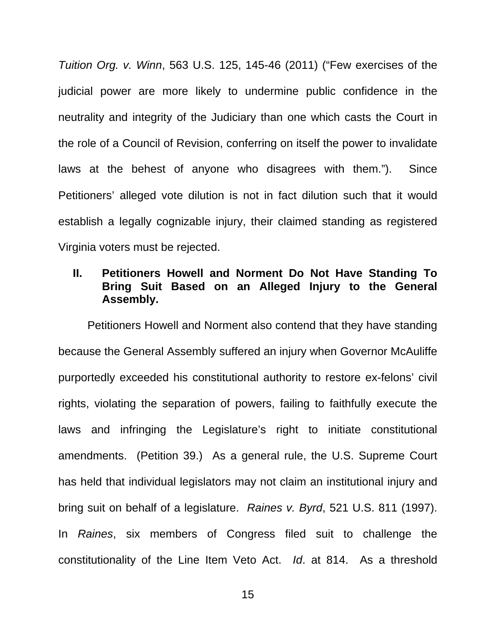*Tuition Org. v. Winn*, 563 U.S. 125, 145-46 (2011) ("Few exercises of the judicial power are more likely to undermine public confidence in the neutrality and integrity of the Judiciary than one which casts the Court in the role of a Council of Revision, conferring on itself the power to invalidate laws at the behest of anyone who disagrees with them."). Since Petitioners' alleged vote dilution is not in fact dilution such that it would establish a legally cognizable injury, their claimed standing as registered Virginia voters must be rejected.

## **II. Petitioners Howell and Norment Do Not Have Standing To Bring Suit Based on an Alleged Injury to the General Assembly.**

Petitioners Howell and Norment also contend that they have standing because the General Assembly suffered an injury when Governor McAuliffe purportedly exceeded his constitutional authority to restore ex-felons' civil rights, violating the separation of powers, failing to faithfully execute the laws and infringing the Legislature's right to initiate constitutional amendments. (Petition 39.) As a general rule, the U.S. Supreme Court has held that individual legislators may not claim an institutional injury and bring suit on behalf of a legislature. *Raines v. Byrd*, 521 U.S. 811 (1997). In *Raines*, six members of Congress filed suit to challenge the constitutionality of the Line Item Veto Act. *Id*. at 814. As a threshold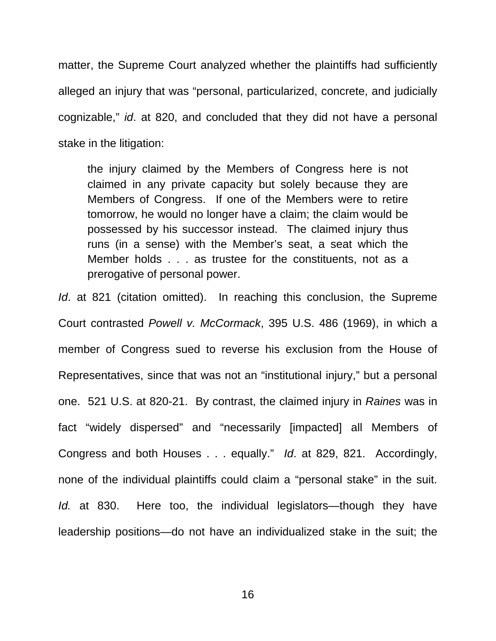matter, the Supreme Court analyzed whether the plaintiffs had sufficiently alleged an injury that was "personal, particularized, concrete, and judicially cognizable," *id*. at 820, and concluded that they did not have a personal stake in the litigation:

the injury claimed by the Members of Congress here is not claimed in any private capacity but solely because they are Members of Congress. If one of the Members were to retire tomorrow, he would no longer have a claim; the claim would be possessed by his successor instead. The claimed injury thus runs (in a sense) with the Member's seat, a seat which the Member holds . . . as trustee for the constituents, not as a prerogative of personal power.

*Id.* at 821 (citation omitted). In reaching this conclusion, the Supreme Court contrasted *Powell v. McCormack*, 395 U.S. 486 (1969), in which a member of Congress sued to reverse his exclusion from the House of Representatives, since that was not an "institutional injury," but a personal one. 521 U.S. at 820-21. By contrast, the claimed injury in *Raines* was in fact "widely dispersed" and "necessarily [impacted] all Members of Congress and both Houses . . . equally." *Id*. at 829, 821. Accordingly, none of the individual plaintiffs could claim a "personal stake" in the suit. *Id.* at 830. Here too, the individual legislators—though they have leadership positions—do not have an individualized stake in the suit; the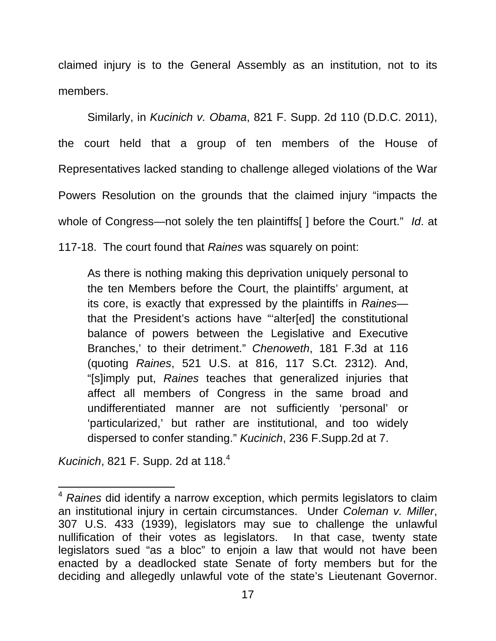claimed injury is to the General Assembly as an institution, not to its members.

 Similarly, in *Kucinich v. Obama*, 821 F. Supp. 2d 110 (D.D.C. 2011), the court held that a group of ten members of the House of Representatives lacked standing to challenge alleged violations of the War Powers Resolution on the grounds that the claimed injury "impacts the whole of Congress—not solely the ten plaintiffs[ ] before the Court." *Id*. at 117-18. The court found that *Raines* was squarely on point:

As there is nothing making this deprivation uniquely personal to the ten Members before the Court, the plaintiffs' argument, at its core, is exactly that expressed by the plaintiffs in *Raines* that the President's actions have "'alter[ed] the constitutional balance of powers between the Legislative and Executive Branches,' to their detriment." *Chenoweth*, 181 F.3d at 116 (quoting *Raines*, 521 U.S. at 816, 117 S.Ct. 2312). And, "[s]imply put, *Raines* teaches that generalized injuries that affect all members of Congress in the same broad and undifferentiated manner are not sufficiently 'personal' or 'particularized,' but rather are institutional, and too widely dispersed to confer standing." *Kucinich*, 236 F.Supp.2d at 7.

*Kucinich*, 821 F. Supp. 2d at 118.<sup>4</sup>

 $\overline{\phantom{a}}$ 

<sup>4</sup> *Raines* did identify a narrow exception, which permits legislators to claim an institutional injury in certain circumstances. Under *Coleman v. Miller*, 307 U.S. 433 (1939), legislators may sue to challenge the unlawful nullification of their votes as legislators. In that case, twenty state legislators sued "as a bloc" to enjoin a law that would not have been enacted by a deadlocked state Senate of forty members but for the deciding and allegedly unlawful vote of the state's Lieutenant Governor.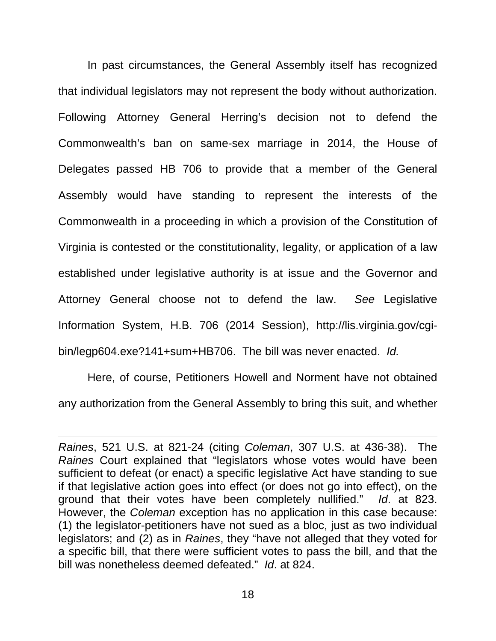In past circumstances, the General Assembly itself has recognized that individual legislators may not represent the body without authorization. Following Attorney General Herring's decision not to defend the Commonwealth's ban on same-sex marriage in 2014, the House of Delegates passed HB 706 to provide that a member of the General Assembly would have standing to represent the interests of the Commonwealth in a proceeding in which a provision of the Constitution of Virginia is contested or the constitutionality, legality, or application of a law established under legislative authority is at issue and the Governor and Attorney General choose not to defend the law. *See* Legislative Information System, H.B. 706 (2014 Session), http://lis.virginia.gov/cgibin/legp604.exe?141+sum+HB706. The bill was never enacted. *Id.*

Here, of course, Petitioners Howell and Norment have not obtained any authorization from the General Assembly to bring this suit, and whether

 $\overline{\phantom{a}}$ 

*Raines*, 521 U.S. at 821-24 (citing *Coleman*, 307 U.S. at 436-38). The *Raines* Court explained that "legislators whose votes would have been sufficient to defeat (or enact) a specific legislative Act have standing to sue if that legislative action goes into effect (or does not go into effect), on the ground that their votes have been completely nullified." *Id*. at 823. However, the *Coleman* exception has no application in this case because: (1) the legislator-petitioners have not sued as a bloc, just as two individual legislators; and (2) as in *Raines*, they "have not alleged that they voted for a specific bill, that there were sufficient votes to pass the bill, and that the bill was nonetheless deemed defeated." *Id*. at 824.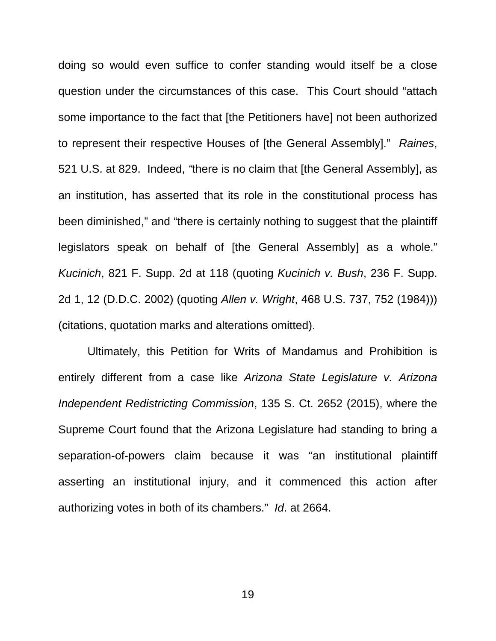doing so would even suffice to confer standing would itself be a close question under the circumstances of this case. This Court should "attach some importance to the fact that [the Petitioners have] not been authorized to represent their respective Houses of [the General Assembly]." *Raines*, 521 U.S. at 829. Indeed, *"*there is no claim that [the General Assembly], as an institution, has asserted that its role in the constitutional process has been diminished," and "there is certainly nothing to suggest that the plaintiff legislators speak on behalf of [the General Assembly] as a whole." *Kucinich*, 821 F. Supp. 2d at 118 (quoting *Kucinich v. Bush*, 236 F. Supp. 2d 1, 12 (D.D.C. 2002) (quoting *Allen v. Wright*, 468 U.S. 737, 752 (1984))) (citations, quotation marks and alterations omitted).

 Ultimately, this Petition for Writs of Mandamus and Prohibition is entirely different from a case like *Arizona State Legislature v. Arizona Independent Redistricting Commission*, 135 S. Ct. 2652 (2015), where the Supreme Court found that the Arizona Legislature had standing to bring a separation-of-powers claim because it was "an institutional plaintiff asserting an institutional injury, and it commenced this action after authorizing votes in both of its chambers." *Id*. at 2664.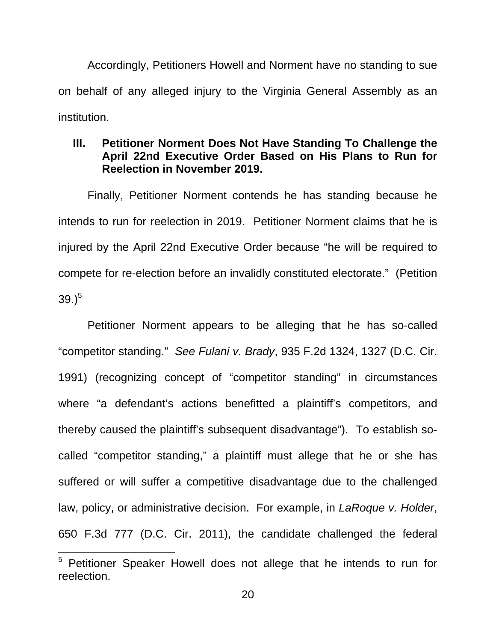Accordingly, Petitioners Howell and Norment have no standing to sue on behalf of any alleged injury to the Virginia General Assembly as an institution.

## **III. Petitioner Norment Does Not Have Standing To Challenge the April 22nd Executive Order Based on His Plans to Run for Reelection in November 2019.**

 Finally, Petitioner Norment contends he has standing because he intends to run for reelection in 2019. Petitioner Norment claims that he is injured by the April 22nd Executive Order because "he will be required to compete for re-election before an invalidly constituted electorate." (Petition  $39.)^5$ 

 Petitioner Norment appears to be alleging that he has so-called "competitor standing." *See Fulani v. Brady*, 935 F.2d 1324, 1327 (D.C. Cir. 1991) (recognizing concept of "competitor standing" in circumstances where "a defendant's actions benefitted a plaintiff's competitors, and thereby caused the plaintiff's subsequent disadvantage"). To establish socalled "competitor standing," a plaintiff must allege that he or she has suffered or will suffer a competitive disadvantage due to the challenged law, policy, or administrative decision. For example, in *LaRoque v. Holder*, 650 F.3d 777 (D.C. Cir. 2011), the candidate challenged the federal

 $\overline{\phantom{a}}$ 

<sup>&</sup>lt;sup>5</sup> Petitioner Speaker Howell does not allege that he intends to run for reelection.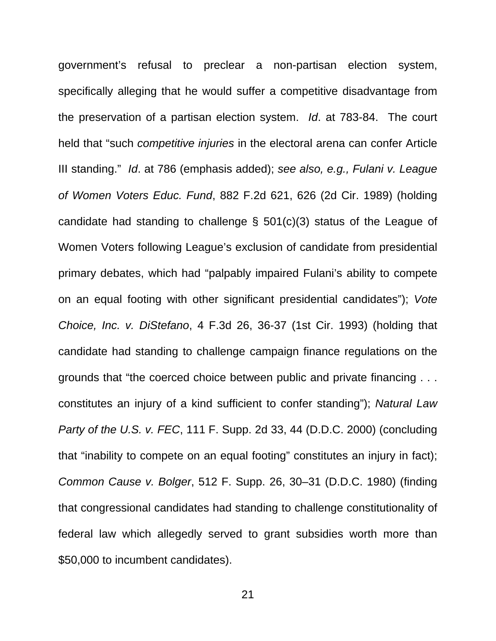government's refusal to preclear a non-partisan election system, specifically alleging that he would suffer a competitive disadvantage from the preservation of a partisan election system. *Id*. at 783-84. The court held that "such *competitive injuries* in the electoral arena can confer Article III standing." *Id*. at 786 (emphasis added); *see also, e.g., Fulani v. League of Women Voters Educ. Fund*, 882 F.2d 621, 626 (2d Cir. 1989) (holding candidate had standing to challenge § 501(c)(3) status of the League of Women Voters following League's exclusion of candidate from presidential primary debates, which had "palpably impaired Fulani's ability to compete on an equal footing with other significant presidential candidates"); *Vote Choice, Inc. v. DiStefano*, 4 F.3d 26, 36-37 (1st Cir. 1993) (holding that candidate had standing to challenge campaign finance regulations on the grounds that "the coerced choice between public and private financing . . . constitutes an injury of a kind sufficient to confer standing"); *Natural Law Party of the U.S. v. FEC*, 111 F. Supp. 2d 33, 44 (D.D.C. 2000) (concluding that "inability to compete on an equal footing" constitutes an injury in fact); *Common Cause v. Bolger*, 512 F. Supp. 26, 30–31 (D.D.C. 1980) (finding that congressional candidates had standing to challenge constitutionality of federal law which allegedly served to grant subsidies worth more than \$50,000 to incumbent candidates).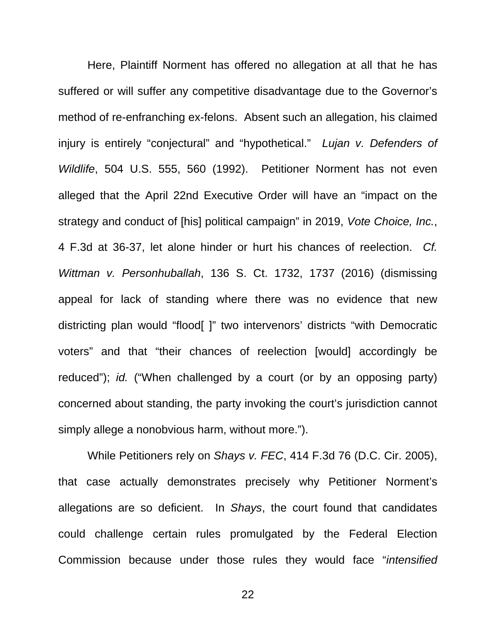Here, Plaintiff Norment has offered no allegation at all that he has suffered or will suffer any competitive disadvantage due to the Governor's method of re-enfranching ex-felons. Absent such an allegation, his claimed injury is entirely "conjectural" and "hypothetical." *Lujan v. Defenders of Wildlife*, 504 U.S. 555, 560 (1992). Petitioner Norment has not even alleged that the April 22nd Executive Order will have an "impact on the strategy and conduct of [his] political campaign" in 2019, *Vote Choice, Inc.*, 4 F.3d at 36-37, let alone hinder or hurt his chances of reelection. *Cf. Wittman v. Personhuballah*, 136 S. Ct. 1732, 1737 (2016) (dismissing appeal for lack of standing where there was no evidence that new districting plan would "flood[ ]" two intervenors' districts "with Democratic voters" and that "their chances of reelection [would] accordingly be reduced"); *id.* ("When challenged by a court (or by an opposing party) concerned about standing, the party invoking the court's jurisdiction cannot simply allege a nonobvious harm, without more.").

 While Petitioners rely on *Shays v. FEC*, 414 F.3d 76 (D.C. Cir. 2005), that case actually demonstrates precisely why Petitioner Norment's allegations are so deficient. In *Shays*, the court found that candidates could challenge certain rules promulgated by the Federal Election Commission because under those rules they would face "*intensified*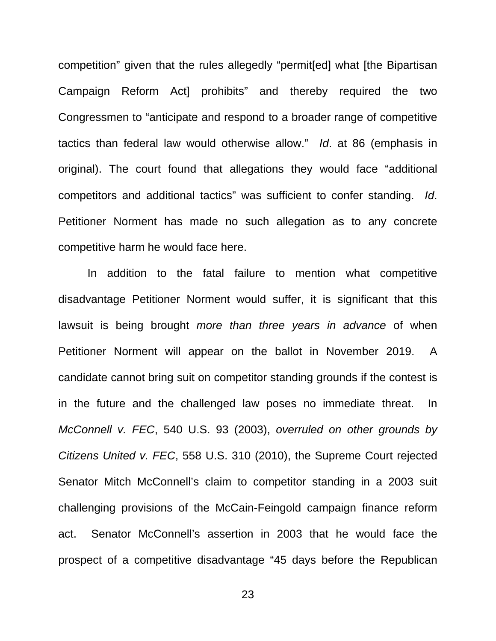competition" given that the rules allegedly "permit[ed] what [the Bipartisan Campaign Reform Act] prohibits" and thereby required the two Congressmen to "anticipate and respond to a broader range of competitive tactics than federal law would otherwise allow." *Id*. at 86 (emphasis in original). The court found that allegations they would face "additional competitors and additional tactics" was sufficient to confer standing. *Id*. Petitioner Norment has made no such allegation as to any concrete competitive harm he would face here.

 In addition to the fatal failure to mention what competitive disadvantage Petitioner Norment would suffer, it is significant that this lawsuit is being brought *more than three years in advance* of when Petitioner Norment will appear on the ballot in November 2019. A candidate cannot bring suit on competitor standing grounds if the contest is in the future and the challenged law poses no immediate threat. In *McConnell v. FEC*, 540 U.S. 93 (2003), *overruled on other grounds by Citizens United v. FEC*, 558 U.S. 310 (2010), the Supreme Court rejected Senator Mitch McConnell's claim to competitor standing in a 2003 suit challenging provisions of the McCain-Feingold campaign finance reform act. Senator McConnell's assertion in 2003 that he would face the prospect of a competitive disadvantage "45 days before the Republican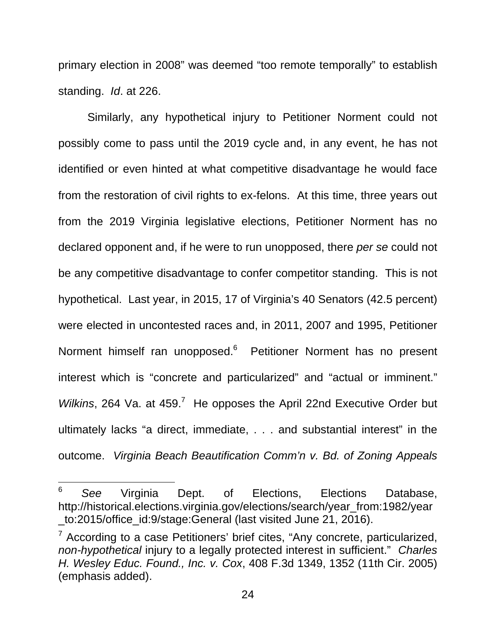primary election in 2008" was deemed "too remote temporally" to establish standing. *Id*. at 226.

 Similarly, any hypothetical injury to Petitioner Norment could not possibly come to pass until the 2019 cycle and, in any event, he has not identified or even hinted at what competitive disadvantage he would face from the restoration of civil rights to ex-felons. At this time, three years out from the 2019 Virginia legislative elections, Petitioner Norment has no declared opponent and, if he were to run unopposed, there *per se* could not be any competitive disadvantage to confer competitor standing. This is not hypothetical. Last year, in 2015, 17 of Virginia's 40 Senators (42.5 percent) were elected in uncontested races and, in 2011, 2007 and 1995, Petitioner Norment himself ran unopposed.<sup>6</sup> Petitioner Norment has no present interest which is "concrete and particularized" and "actual or imminent." Wilkins, 264 Va. at 459.<sup>7</sup> He opposes the April 22nd Executive Order but ultimately lacks "a direct, immediate, . . . and substantial interest" in the outcome. *Virginia Beach Beautification Comm'n v. Bd. of Zoning Appeals* 

 $\overline{\phantom{a}}$ 

<sup>6</sup> *See* Virginia Dept. of Elections, Elections Database, http://historical.elections.virginia.gov/elections/search/year\_from:1982/year \_to:2015/office\_id:9/stage:General (last visited June 21, 2016).

 $7$  According to a case Petitioners' brief cites, "Any concrete, particularized, *non-hypothetical* injury to a legally protected interest in sufficient." *Charles H. Wesley Educ. Found., Inc. v. Cox*, 408 F.3d 1349, 1352 (11th Cir. 2005) (emphasis added).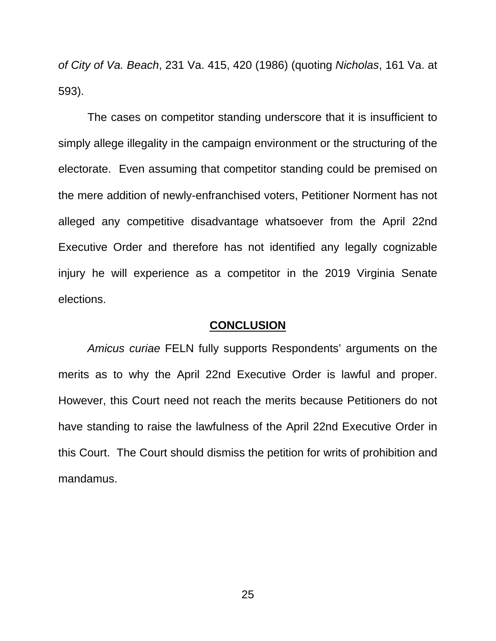*of City of Va. Beach*, 231 Va. 415, 420 (1986) (quoting *Nicholas*, 161 Va. at 593).

 The cases on competitor standing underscore that it is insufficient to simply allege illegality in the campaign environment or the structuring of the electorate. Even assuming that competitor standing could be premised on the mere addition of newly-enfranchised voters, Petitioner Norment has not alleged any competitive disadvantage whatsoever from the April 22nd Executive Order and therefore has not identified any legally cognizable injury he will experience as a competitor in the 2019 Virginia Senate elections.

#### **CONCLUSION**

*Amicus curiae* FELN fully supports Respondents' arguments on the merits as to why the April 22nd Executive Order is lawful and proper. However, this Court need not reach the merits because Petitioners do not have standing to raise the lawfulness of the April 22nd Executive Order in this Court. The Court should dismiss the petition for writs of prohibition and mandamus.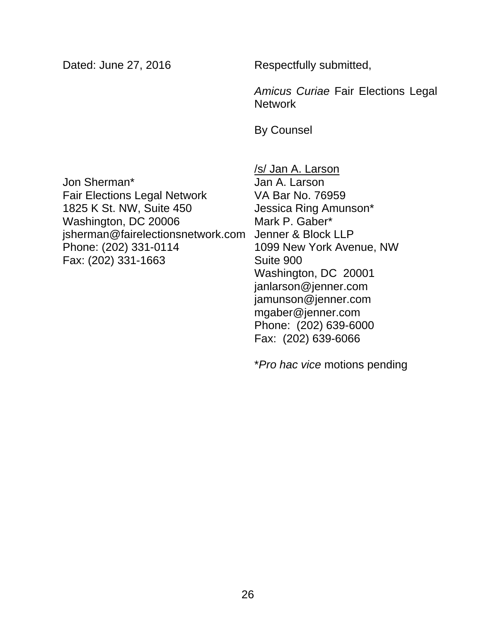Dated: June 27, 2016

Respectfully submitted,

*Amicus Curiae* Fair Elections Legal **Network** 

By Counsel

Jon Sherman\* Fair Elections Legal Network 1825 K St. NW, Suite 450 Washington, DC 20006 jsherman@fairelectionsnetwork.com Phone: (202) 331-0114 Fax: (202) 331-1663

/s/ Jan A. Larson Jan A. Larson VA Bar No. 76959 Jessica Ring Amunson\* Mark P. Gaber\* Jenner & Block LLP 1099 New York Avenue, NW Suite 900 Washington, DC 20001 janlarson@jenner.com jamunson@jenner.com mgaber@jenner.com Phone: (202) 639-6000 Fax: (202) 639-6066

\**Pro hac vice* motions pending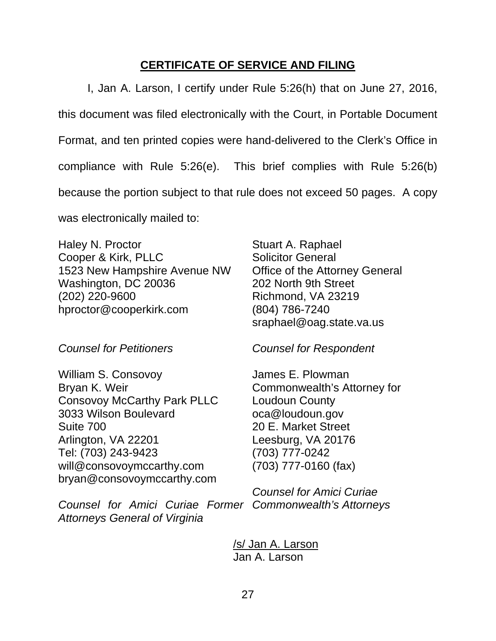## **CERTIFICATE OF SERVICE AND FILING**

I, Jan A. Larson, I certify under Rule 5:26(h) that on June 27, 2016, this document was filed electronically with the Court, in Portable Document Format, and ten printed copies were hand-delivered to the Clerk's Office in compliance with Rule 5:26(e). This brief complies with Rule 5:26(b) because the portion subject to that rule does not exceed 50 pages. A copy was electronically mailed to:

Haley N. Proctor Cooper & Kirk, PLLC 1523 New Hampshire Avenue NW Washington, DC 20036 (202) 220-9600 hproctor@cooperkirk.com

*Counsel for Petitioners* 

William S. Consovoy Bryan K. Weir Consovoy McCarthy Park PLLC 3033 Wilson Boulevard Suite 700 Arlington, VA 22201 Tel: (703) 243-9423 will@consovoymccarthy.com bryan@consovoymccarthy.com

*Counsel for Amici Curiae Former Commonwealth's Attorneys Attorneys General of Virginia* 

Stuart A. Raphael Solicitor General Office of the Attorney General 202 North 9th Street Richmond, VA 23219 (804) 786-7240 sraphael@oag.state.va.us

*Counsel for Respondent* 

James E. Plowman Commonwealth's Attorney for Loudoun County oca@loudoun.gov 20 E. Market Street Leesburg, VA 20176 (703) 777-0242 (703) 777-0160 (fax)

*Counsel for Amici Curiae* 

 /s/ Jan A. Larson Jan A. Larson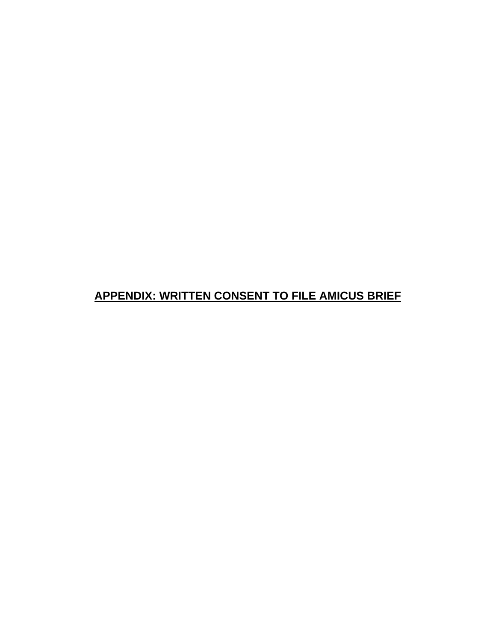## **APPENDIX: WRITTEN CONSENT TO FILE AMICUS BRIEF**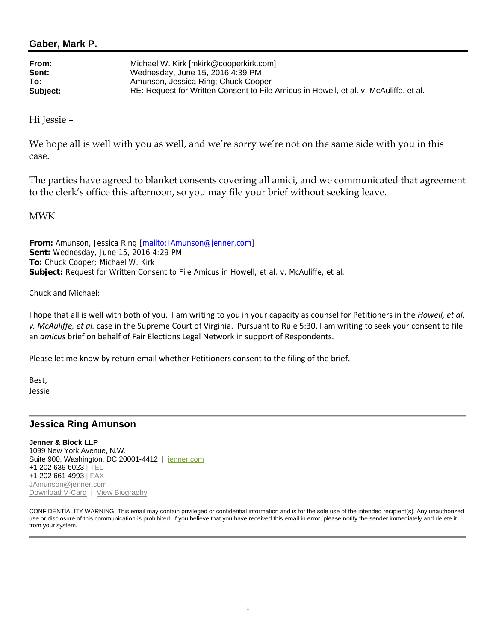#### **Gaber, Mark P.**

| From:    | Michael W. Kirk [mkirk@cooperkirk.com]                                                |
|----------|---------------------------------------------------------------------------------------|
| Sent:    | Wednesday, June 15, 2016 4:39 PM                                                      |
| To:      | Amunson, Jessica Ring; Chuck Cooper                                                   |
| Subject: | RE: Request for Written Consent to File Amicus in Howell, et al. v. McAuliffe, et al. |

Hi Jessie –

We hope all is well with you as well, and we're sorry we're not on the same side with you in this case.

The parties have agreed to blanket consents covering all amici, and we communicated that agreement to the clerk's office this afternoon, so you may file your brief without seeking leave.

MWK

**From:** Amunson, Jessica Ring [mailto:JAmunson@jenner.com] **Sent:** Wednesday, June 15, 2016 4:29 PM **To:** Chuck Cooper; Michael W. Kirk **Subject:** Request for Written Consent to File Amicus in Howell, et al. v. McAuliffe, et al.

Chuck and Michael:

I hope that all is well with both of you. I am writing to you in your capacity as counsel for Petitioners in the *Howell, et al. v. McAuliffe, et al.* case in the Supreme Court of Virginia. Pursuant to Rule 5:30, I am writing to seek your consent to file an *amicus* brief on behalf of Fair Elections Legal Network in support of Respondents.

Please let me know by return email whether Petitioners consent to the filing of the brief.

Best, Jessie

#### **Jessica Ring Amunson**

**Jenner & Block LLP**  1099 New York Avenue, N.W. Suite 900, Washington, DC 20001-4412 | jenner.com +1 202 639 6023 | TEL +1 202 661 4993 | FAX JAmunson@jenner.com Download V-Card | View Biography

CONFIDENTIALITY WARNING: This email may contain privileged or confidential information and is for the sole use of the intended recipient(s). Any unauthorized use or disclosure of this communication is prohibited. If you believe that you have received this email in error, please notify the sender immediately and delete it from your system.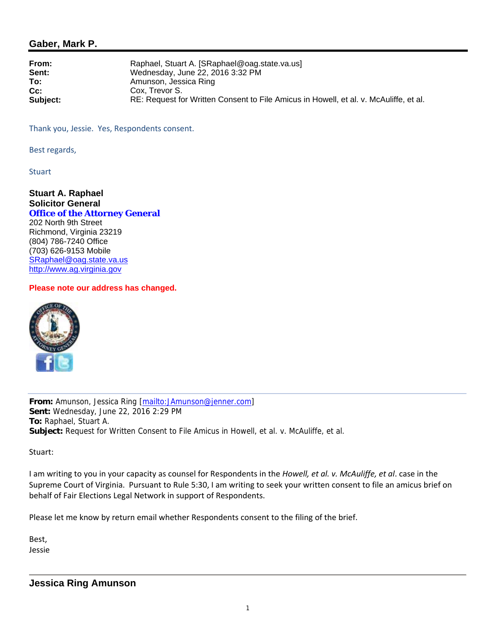#### **Gaber, Mark P.**

| From:<br>Sent: | Raphael, Stuart A. [SRaphael@oag.state.va.us]<br>Wednesday, June 22, 2016 3:32 PM     |
|----------------|---------------------------------------------------------------------------------------|
| To:            | Amunson, Jessica Ring                                                                 |
| $Cc$ :         | Cox. Trevor S.                                                                        |
| Subject:       | RE: Request for Written Consent to File Amicus in Howell, et al. v. McAuliffe, et al. |

Thank you, Jessie. Yes, Respondents consent.

Best regards,

**Stuart** 

**Stuart A. Raphael Solicitor General Office of the Attorney General**  202 North 9th Street Richmond, Virginia 23219 (804) 786-7240 Office (703) 626-9153 Mobile SRaphael@oag.state.va.us http://www.ag.virginia.gov

#### **Please note our address has changed.**



**From:** Amunson, Jessica Ring [mailto:JAmunson@jenner.com] **Sent:** Wednesday, June 22, 2016 2:29 PM **To:** Raphael, Stuart A. **Subject:** Request for Written Consent to File Amicus in Howell, et al. v. McAuliffe, et al.

Stuart:

I am writing to you in your capacity as counsel for Respondents in the *Howell, et al. v. McAuliffe, et al*. case in the Supreme Court of Virginia. Pursuant to Rule 5:30, I am writing to seek your written consent to file an amicus brief on behalf of Fair Elections Legal Network in support of Respondents.

Please let me know by return email whether Respondents consent to the filing of the brief.

Best, Jessie

#### **Jessica Ring Amunson**